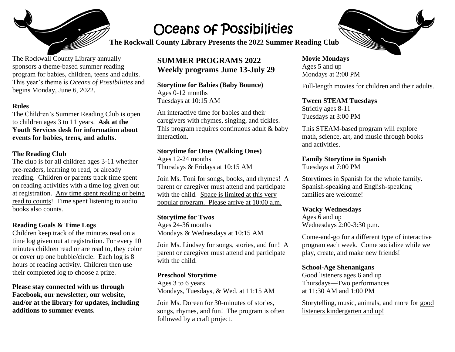

The Rockwall County Library annually sponsors a theme-based summer reading program for babies, children, teens and adults. This year's theme is *Oceans of Possibilities* and

# Oceans of Possibilities

**The Rockwall County Library Presents the 2022 Summer Reading Club** 

### **SUMMER PROGRAMS 2022 Weekly programs June 13-July 29**

**Storytime for Babies (Baby Bounce)**  Ages 0-12 months Tuesdays at 10:15 AM

An interactive time for babies and their caregivers with rhymes, singing, and tickles. This program requires continuous adult & baby interaction.

#### **Storytime for Ones (Walking Ones)**

Ages 12-24 months Thursdays & Fridays at 10:15 AM

Join Ms. Toni for songs, books, and rhymes! A parent or caregiver must attend and participate with the child. Space is limited at this very popular program. Please arrive at 10:00 a.m.

#### **Storytime for Twos**

Ages 24-36 months Mondays & Wednesdays at 10:15 AM

Join Ms. Lindsey for songs, stories, and fun! A parent or caregiver must attend and participate with the child.

#### **Preschool Storytime**

Ages 3 to 6 years Mondays, Tuesdays, & Wed. at 11:15 AM

Join Ms. Doreen for 30-minutes of stories, songs, rhymes, and fun! The program is often followed by a craft project.

#### **Movie Mondays**  Ages 5 and up Mondays at 2:00 PM

Full-length movies for children and their adults.

#### **Tween STEAM Tuesdays**

Strictly ages 8-11 Tuesdays at 3:00 PM

This STEAM-based program will explore math, science, art, and music through books and activities.

#### **Family Storytime in Spanish**

Tuesdays at 7:00 PM

Storytimes in Spanish for the whole family. Spanish-speaking and English-speaking families are welcome!

#### **Wacky Wednesdays**

Ages 6 and up Wednesdays 2:00-3:30 p.m.

Come-and-go for a different type of interactive program each week. Come socialize while we play, create, and make new friends!

#### **School-Age Shenanigans**

Good listeners ages 6 and up Thursdays—Two performances at 11:30 AM and 1:00 PM

Storytelling, music, animals, and more for good listeners kindergarten and up!



begins Monday, June 6, 2022. **Rules** The Children's Summer Reading Club is open to children ages 3 to 11 years. **Ask at the Youth Services desk for information about** 

**events for babies, teens, and adults.**

#### **The Reading Club**

The club is for all children ages 3-11 whether pre-readers, learning to read, or already reading. Children or parents track time spent on reading activities with a time log given out at registration. Any time spent reading or being read to counts! Time spent listening to audio books also counts.

#### **Reading Goals & Time Logs**

Children keep track of the minutes read on a time log given out at registration. For every 10 minutes children read or are read to, they color or cover up one bubble/circle. Each log is 8 hours of reading activity. Children then use their completed log to choose a prize.

**Please stay connected with us through Facebook, our newsletter, our website, and/or at the library for updates, including additions to summer events.**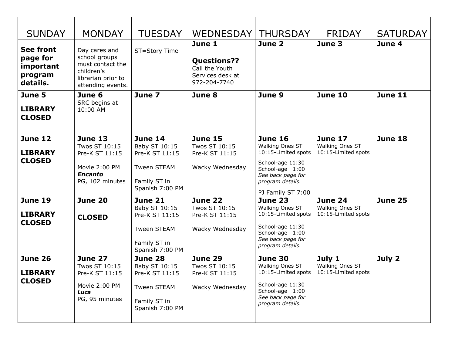| <b>SUNDAY</b>                                                    | <b>MONDAY</b>                                                                                               | <b>TUESDAY</b>                                                                                             | <b>WEDNESDAY</b>                                                                   | <b>THURSDAY</b>                                                                                                                                               | <b>FRIDAY</b>                                            | <b>SATURDAY</b> |
|------------------------------------------------------------------|-------------------------------------------------------------------------------------------------------------|------------------------------------------------------------------------------------------------------------|------------------------------------------------------------------------------------|---------------------------------------------------------------------------------------------------------------------------------------------------------------|----------------------------------------------------------|-----------------|
| <b>See front</b><br>page for<br>important<br>program<br>details. | Day cares and<br>school groups<br>must contact the<br>children's<br>librarian prior to<br>attending events. | ST=Story Time                                                                                              | June 1<br><b>Questions??</b><br>Call the Youth<br>Services desk at<br>972-204-7740 | June 2                                                                                                                                                        | June 3                                                   | June 4          |
| June 5<br><b>LIBRARY</b><br><b>CLOSED</b>                        | June 6<br>SRC begins at<br>10:00 AM                                                                         | June 7                                                                                                     | June 8                                                                             | June 9                                                                                                                                                        | <b>June 10</b>                                           | June 11         |
| <b>June 12</b><br><b>LIBRARY</b><br><b>CLOSED</b>                | <b>June 13</b><br>Twos ST 10:15<br>Pre-K ST 11:15<br>Movie 2:00 PM<br><b>Encanto</b><br>PG, 102 minutes     | June 14<br>Baby ST 10:15<br>Pre-K ST 11:15<br><b>Tween STEAM</b><br>Family ST in<br>Spanish 7:00 PM        | June 15<br>Twos ST 10:15<br>Pre-K ST 11:15<br>Wacky Wednesday                      | <b>June 16</b><br>Walking Ones ST<br>10:15-Limited spots<br>School-age 11:30<br>School-age 1:00<br>See back page for<br>program details.<br>PJ Family ST 7:00 | <b>June 17</b><br>Walking Ones ST<br>10:15-Limited spots | <b>June 18</b>  |
| June 19<br><b>LIBRARY</b><br><b>CLOSED</b>                       | June 20<br><b>CLOSED</b>                                                                                    | <b>June 21</b><br>Baby ST 10:15<br>Pre-K ST 11:15<br><b>Tween STEAM</b><br>Family ST in<br>Spanish 7:00 PM | June 22<br>Twos ST 10:15<br>Pre-K ST 11:15<br>Wacky Wednesday                      | June 23<br>Walking Ones ST<br>10:15-Limited spots<br>School-age 11:30<br>School-age 1:00<br>See back page for<br>program details.                             | <b>June 24</b><br>Walking Ones ST<br>10:15-Limited spots | <b>June 25</b>  |
| June 26<br><b>LIBRARY</b><br><b>CLOSED</b>                       | June 27<br>Twos ST 10:15<br>Pre-K ST 11:15<br>Movie 2:00 PM<br>Luca<br>PG, 95 minutes                       | <b>June 28</b><br>Baby ST 10:15<br>Pre-K ST 11:15<br>Tween STEAM<br>Family ST in<br>Spanish 7:00 PM        | June 29<br>Twos ST 10:15<br>Pre-K ST 11:15<br>Wacky Wednesday                      | June 30<br>Walking Ones ST<br>10:15-Limited spots<br>School-age 11:30<br>School-age 1:00<br>See back page for<br>program details.                             | July 1<br>Walking Ones ST<br>10:15-Limited spots         | July 2          |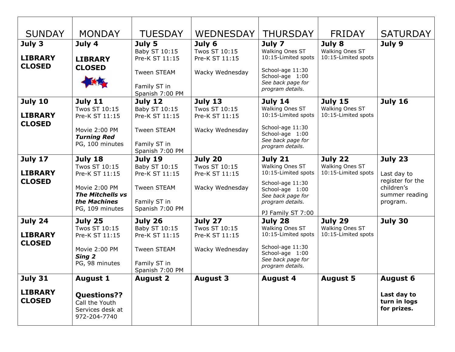| <b>SUNDAY</b>                                     | <b>MONDAY</b>                                                                                                             | <b>TUESDAY</b>                                                                                      | <b>WEDNESDAY</b>                                                     | <b>THURSDAY</b>                                                                                                                                        | <b>FRIDAY</b>                                            | <b>SATURDAY</b>                                                                        |
|---------------------------------------------------|---------------------------------------------------------------------------------------------------------------------------|-----------------------------------------------------------------------------------------------------|----------------------------------------------------------------------|--------------------------------------------------------------------------------------------------------------------------------------------------------|----------------------------------------------------------|----------------------------------------------------------------------------------------|
| July 3<br><b>LIBRARY</b><br><b>CLOSED</b>         | July 4<br><b>LIBRARY</b><br><b>CLOSED</b>                                                                                 | July 5<br>Baby ST 10:15<br>Pre-K ST 11:15<br><b>Tween STEAM</b><br>Family ST in<br>Spanish 7:00 PM  | July 6<br>Twos ST 10:15<br>Pre-K ST 11:15<br>Wacky Wednesday         | July 7<br>Walking Ones ST<br>10:15-Limited spots<br>School-age 11:30<br>School-age 1:00<br>See back page for<br>program details.                       | July 8<br>Walking Ones ST<br>10:15-Limited spots         | July 9                                                                                 |
| <b>July 10</b><br><b>LIBRARY</b><br><b>CLOSED</b> | <b>July 11</b><br>Twos ST 10:15<br>Pre-K ST 11:15<br>Movie 2:00 PM<br><b>Turning Red</b><br>PG, 100 minutes               | July 12<br>Baby ST 10:15<br>Pre-K ST 11:15<br><b>Tween STEAM</b><br>Family ST in<br>Spanish 7:00 PM | <b>July 13</b><br>Twos ST 10:15<br>Pre-K ST 11:15<br>Wacky Wednesday | <b>July 14</b><br>Walking Ones ST<br>10:15-Limited spots<br>School-age 11:30<br>School-age 1:00<br>See back page for<br>program details.               | <b>July 15</b><br>Walking Ones ST<br>10:15-Limited spots | <b>July 16</b>                                                                         |
| <b>July 17</b><br><b>LIBRARY</b><br><b>CLOSED</b> | July 18<br>Twos ST 10:15<br>Pre-K ST 11:15<br>Movie 2:00 PM<br><b>The Mitchells vs</b><br>the Machines<br>PG, 109 minutes | July 19<br>Baby ST 10:15<br>Pre-K ST 11:15<br><b>Tween STEAM</b><br>Family ST in<br>Spanish 7:00 PM | July 20<br>Twos ST 10:15<br>Pre-K ST 11:15<br>Wacky Wednesday        | July 21<br>Walking Ones ST<br>10:15-Limited spots<br>School-age 11:30<br>School-age 1:00<br>See back page for<br>program details.<br>PJ Family ST 7:00 | July 22<br>Walking Ones ST<br>10:15-Limited spots        | July 23<br>Last day to<br>register for the<br>children's<br>summer reading<br>program. |
| July 24<br><b>LIBRARY</b><br><b>CLOSED</b>        | July 25<br>Twos ST 10:15<br>Pre-K ST 11:15<br>Movie 2:00 PM<br>Sing 2<br>PG, 98 minutes                                   | July 26<br>Baby ST 10:15<br>Pre-K ST 11:15<br><b>Tween STEAM</b><br>Family ST in<br>Spanish 7:00 PM | July 27<br>Twos ST 10:15<br>Pre-K ST 11:15<br>Wacky Wednesday        | July 28<br>Walking Ones ST<br>10:15-Limited spots<br>School-age 11:30<br>School-age 1:00<br>See back page for<br>program details.                      | July 29<br>Walking Ones ST<br>10:15-Limited spots        | July 30                                                                                |
| <b>July 31</b><br><b>LIBRARY</b><br><b>CLOSED</b> | <b>August 1</b><br><b>Questions??</b><br>Call the Youth<br>Services desk at<br>972-204-7740                               | <b>August 2</b>                                                                                     | <b>August 3</b>                                                      | <b>August 4</b>                                                                                                                                        | <b>August 5</b>                                          | <b>August 6</b><br>Last day to<br>turn in logs<br>for prizes.                          |